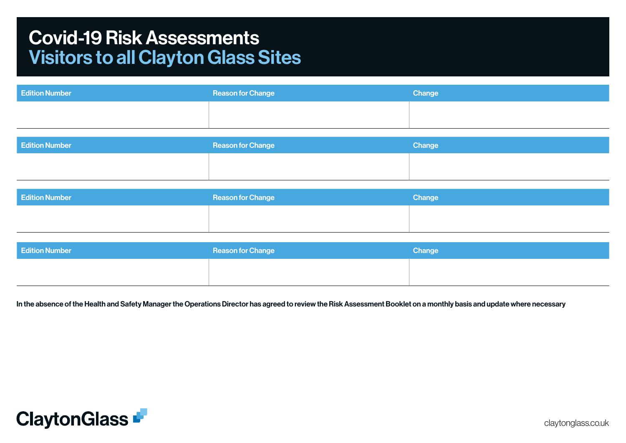## Covid-19 Risk Assessments Visitors to all Clayton Glass Sites

| <b>Edition Number</b> | <b>Reason for Change</b> | Change |
|-----------------------|--------------------------|--------|
|                       |                          |        |
|                       |                          |        |

| <b>Edition Number</b> | <b>Reason for Change</b> | Change |
|-----------------------|--------------------------|--------|
|                       |                          |        |
|                       |                          |        |

| <b>Edition Number</b> | <b>Reason for Change</b> | Change |
|-----------------------|--------------------------|--------|
|                       |                          |        |
|                       |                          |        |

| <b>Edition Number</b> | <b>Reason for Change</b> | Change |
|-----------------------|--------------------------|--------|
|                       |                          |        |
|                       |                          |        |

In the absence of the Health and Safety Manager the Operations Director has agreed to review the Risk Assessment Booklet on a monthly basis and update where necessary

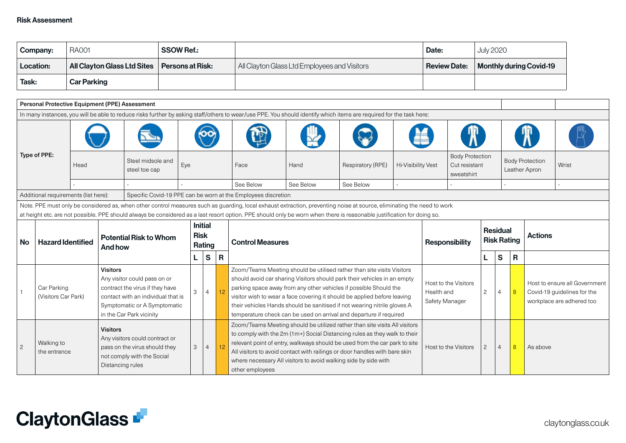| Company:     | <b>RA001</b>                                   | <b>SSOW Ref.:</b> |                                              | Date:        | <b>July 2020</b>               |
|--------------|------------------------------------------------|-------------------|----------------------------------------------|--------------|--------------------------------|
| Location:    | All Clayton Glass Ltd Sites   Persons at Risk: |                   | All Clayton Glass Ltd Employees and Visitors | Review Date: | <b>Monthly during Covid-19</b> |
| <b>Task:</b> | <b>Car Parking</b>                             |                   |                                              |              |                                |

|                                                                                                                                                                                                                            | Personal Protective Equipment (PPE) Assessment |      |                                          |                                                                                               |     |                                         |    |                                                                                                                                                                                                                                                                                                                                                                                                                                                                                                                                                    |           |                                                                                                                                                                        |                                        |                       |                                                       |                                       |    |                                                                                           |  |       |
|----------------------------------------------------------------------------------------------------------------------------------------------------------------------------------------------------------------------------|------------------------------------------------|------|------------------------------------------|-----------------------------------------------------------------------------------------------|-----|-----------------------------------------|----|----------------------------------------------------------------------------------------------------------------------------------------------------------------------------------------------------------------------------------------------------------------------------------------------------------------------------------------------------------------------------------------------------------------------------------------------------------------------------------------------------------------------------------------------------|-----------|------------------------------------------------------------------------------------------------------------------------------------------------------------------------|----------------------------------------|-----------------------|-------------------------------------------------------|---------------------------------------|----|-------------------------------------------------------------------------------------------|--|-------|
|                                                                                                                                                                                                                            |                                                |      |                                          |                                                                                               |     |                                         |    |                                                                                                                                                                                                                                                                                                                                                                                                                                                                                                                                                    |           | In many instances, you will be able to reduce risks further by asking staff/others to wear/use PPE. You should identify which items are required for the task here:    |                                        |                       |                                                       |                                       |    |                                                                                           |  |       |
|                                                                                                                                                                                                                            |                                                |      |                                          |                                                                                               |     |                                         |    |                                                                                                                                                                                                                                                                                                                                                                                                                                                                                                                                                    |           |                                                                                                                                                                        |                                        |                       |                                                       |                                       |    |                                                                                           |  |       |
| Type of PPE:                                                                                                                                                                                                               |                                                | Head |                                          | Steel midsole and<br>steel toe cap                                                            | Eye |                                         |    | Face                                                                                                                                                                                                                                                                                                                                                                                                                                                                                                                                               | Hand      | Respiratory (RPE)                                                                                                                                                      | Hi-Visibility Vest                     |                       | <b>Body Protection</b><br>Cut resistant<br>sweatshirt |                                       |    | <b>Body Protection</b><br>Leather Apron                                                   |  | Wrist |
|                                                                                                                                                                                                                            |                                                |      |                                          |                                                                                               |     |                                         |    | See Below                                                                                                                                                                                                                                                                                                                                                                                                                                                                                                                                          | See Below | See Below                                                                                                                                                              |                                        |                       |                                                       |                                       |    |                                                                                           |  |       |
|                                                                                                                                                                                                                            | Additional requirements (list here):           |      |                                          |                                                                                               |     |                                         |    | Specific Covid-19 PPE can be worn at the Employees discretion                                                                                                                                                                                                                                                                                                                                                                                                                                                                                      |           |                                                                                                                                                                        |                                        |                       |                                                       |                                       |    |                                                                                           |  |       |
|                                                                                                                                                                                                                            |                                                |      |                                          |                                                                                               |     |                                         |    |                                                                                                                                                                                                                                                                                                                                                                                                                                                                                                                                                    |           | Note. PPE must only be considered as, when other control measures such as guarding, local exhaust extraction, preventing noise at source, eliminating the need to work |                                        |                       |                                                       |                                       |    |                                                                                           |  |       |
|                                                                                                                                                                                                                            |                                                |      |                                          |                                                                                               |     |                                         |    |                                                                                                                                                                                                                                                                                                                                                                                                                                                                                                                                                    |           | at height etc. are not possible. PPE should always be considered as a last resort option. PPE should only be worn when there is reasonable justification for doing so. |                                        |                       |                                                       |                                       |    |                                                                                           |  |       |
| No                                                                                                                                                                                                                         | <b>Hazard Identified</b>                       |      | <b>Potential Risk to Whom</b><br>And how |                                                                                               |     | <b>Initial</b><br><b>Risk</b><br>Rating |    | <b>Control Measures</b>                                                                                                                                                                                                                                                                                                                                                                                                                                                                                                                            |           |                                                                                                                                                                        |                                        | <b>Responsibility</b> |                                                       | <b>Residual</b><br><b>Risk Rating</b> |    | <b>Actions</b>                                                                            |  |       |
|                                                                                                                                                                                                                            |                                                |      |                                          |                                                                                               | L.  | <b>S</b>                                | R  |                                                                                                                                                                                                                                                                                                                                                                                                                                                                                                                                                    |           |                                                                                                                                                                        |                                        |                       |                                                       | $\mathbf{s}$                          | R. |                                                                                           |  |       |
| <b>Visitors</b><br>Any visitor could pass on or<br>Car Parking<br>contract the virus if they have<br>(Visitors Car Park)<br>contact with an individual that is<br>Symptomatic or A Symptomatic<br>in the Car Park vicinity |                                                |      | 3                                        | $\overline{4}$                                                                                | 12  |                                         |    | Zoom/Teams Meeting should be utilised rather than site visits Visitors<br>should avoid car sharing Visitors should park their vehicles in an empty<br>parking space away from any other vehicles if possible Should the<br>visitor wish to wear a face covering it should be applied before leaving<br>their vehicles Hands should be sanitised if not wearing nitrile gloves A                                                                                                                                                                    |           | Health and                                                                                                                                                             | Host to the Visitors<br>Safety Manager | $\mathbf{2}^{\prime}$ | $\overline{4}$                                        | 8                                     |    | Host to ensure all Government<br>Covid-19 guidelines for the<br>workplace are adhered too |  |       |
| $\overline{2}$                                                                                                                                                                                                             | Walking to<br>the entrance                     |      | <b>Visitors</b><br>Distancing rules      | Any visitors could contract or<br>pass on the virus should they<br>not comply with the Social | 3   | $\overline{4}$                          | 12 | temperature check can be used on arrival and departure if required<br>Zoom/Teams Meeting should be utilized rather than site visits All visitors<br>to comply with the 2m (1m+) Social Distancing rules as they walk to their<br>relevant point of entry, walkways should be used from the car park to site<br>Host to the Visitors<br>$\mathbf{2}^{\prime}$<br>$\overline{4}$<br>All visitors to avoid contact with railings or door handles with bare skin<br>where necessary All visitors to avoid walking side by side with<br>other employees |           |                                                                                                                                                                        |                                        | 8                     | As above                                              |                                       |    |                                                                                           |  |       |

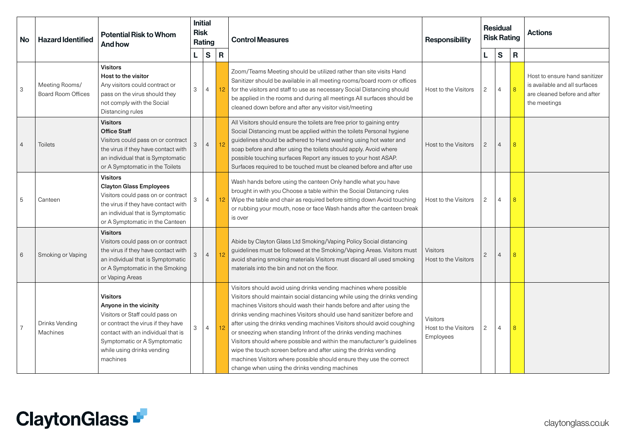| No.            | <b>Potential Risk to Whom</b><br><b>Hazard Identified</b><br><b>And how</b> |                                                                                                                                                                                                                                    | <b>Initial</b><br><b>Risk</b><br>Rating |                                   |    | <b>Control Measures</b>                                                                                                                                                                                                                                                                                                                                                                                                                                                                                                                                                                                                                                                                                              | <b>Responsibility</b>                         |                       | <b>Residual</b><br><b>Risk Rating</b> |                | <b>Actions</b>                                                                                                 |
|----------------|-----------------------------------------------------------------------------|------------------------------------------------------------------------------------------------------------------------------------------------------------------------------------------------------------------------------------|-----------------------------------------|-----------------------------------|----|----------------------------------------------------------------------------------------------------------------------------------------------------------------------------------------------------------------------------------------------------------------------------------------------------------------------------------------------------------------------------------------------------------------------------------------------------------------------------------------------------------------------------------------------------------------------------------------------------------------------------------------------------------------------------------------------------------------------|-----------------------------------------------|-----------------------|---------------------------------------|----------------|----------------------------------------------------------------------------------------------------------------|
|                |                                                                             |                                                                                                                                                                                                                                    |                                         | $\mathbf{s}$<br>$\mathsf{R}$<br>L |    |                                                                                                                                                                                                                                                                                                                                                                                                                                                                                                                                                                                                                                                                                                                      |                                               | L.                    | $\mathbf s$                           | $\mathsf{R}$   |                                                                                                                |
| 3              | Meeting Rooms/<br><b>Board Room Offices</b>                                 | <b>Visitors</b><br>Host to the visitor<br>Any visitors could contract or<br>pass on the virus should they<br>not comply with the Social<br>Distancing rules                                                                        | 3                                       | $\overline{4}$                    | 12 | Zoom/Teams Meeting should be utilized rather than site visits Hand<br>Sanitizer should be available in all meeting rooms/board room or offices<br>for the visitors and staff to use as necessary Social Distancing should<br>be applied in the rooms and during all meetings All surfaces should be<br>cleaned down before and after any visitor visit/meeting                                                                                                                                                                                                                                                                                                                                                       | Host to the Visitors                          | $\mathbf{2}$          | 4                                     | 8              | Host to ensure hand sanitizer<br>is available and all surfaces<br>are cleaned before and after<br>the meetings |
| $\overline{4}$ | <b>Toilets</b>                                                              | <b>Visitors</b><br><b>Office Staff</b><br>Visitors could pass on or contract<br>the virus if they have contact with<br>an individual that is Symptomatic<br>or A Symptomatic in the Toilets                                        | 3                                       | $\overline{4}$                    | 12 | All Visitors should ensure the toilets are free prior to gaining entry<br>Social Distancing must be applied within the toilets Personal hygiene<br>guidelines should be adhered to Hand washing using hot water and<br>soap before and after using the toilets should apply. Avoid where<br>possible touching surfaces Report any issues to your host ASAP.<br>Surfaces required to be touched must be cleaned before and after use                                                                                                                                                                                                                                                                                  | Host to the Visitors                          | $\mathbf{2}^{\prime}$ | $\overline{4}$                        | 8              |                                                                                                                |
| 5              | Canteen                                                                     | <b>Visitors</b><br><b>Clayton Glass Employees</b><br>Visitors could pass on or contract<br>the virus if they have contact with<br>an individual that is Symptomatic<br>or A Symptomatic in the Canteen                             | 3                                       | $\overline{4}$                    | 12 | Wash hands before using the canteen Only handle what you have<br>brought in with you Choose a table within the Social Distancing rules<br>Wipe the table and chair as required before sitting down Avoid touching<br>or rubbing your mouth, nose or face Wash hands after the canteen break<br>is over                                                                                                                                                                                                                                                                                                                                                                                                               | Host to the Visitors                          | $\overline{c}$        | $\overline{4}$                        | 8              |                                                                                                                |
| 6              | Smoking or Vaping                                                           | <b>Visitors</b><br>Visitors could pass on or contract<br>the virus if they have contact with<br>an individual that is Symptomatic<br>or A Symptomatic in the Smoking<br>or Vaping Areas                                            | 3                                       | $\overline{4}$                    | 12 | Abide by Clayton Glass Ltd Smoking/Vaping Policy Social distancing<br>guidelines must be followed at the Smoking/Vaping Areas. Visitors must<br>avoid sharing smoking materials Visitors must discard all used smoking<br>materials into the bin and not on the floor.                                                                                                                                                                                                                                                                                                                                                                                                                                               | Visitors<br>Host to the Visitors              | $\mathbf{2}$          | $\overline{4}$                        | 8              |                                                                                                                |
| $\overline{7}$ | Drinks Vending<br>Machines                                                  | <b>Visitors</b><br>Anyone in the vicinity<br>Visitors or Staff could pass on<br>or contract the virus if they have<br>contact with an individual that is<br>Symptomatic or A Symptomatic<br>while using drinks vending<br>machines | 3                                       | $\overline{4}$                    | 12 | Visitors should avoid using drinks vending machines where possible<br>Visitors should maintain social distancing while using the drinks vending<br>machines Visitors should wash their hands before and after using the<br>drinks vending machines Visitors should use hand sanitizer before and<br>after using the drinks vending machines Visitors should avoid coughing<br>or sneezing when standing Infront of the drinks vending machines<br>Visitors should where possible and within the manufacturer's guidelines<br>wipe the touch screen before and after using the drinks vending<br>machines Visitors where possible should ensure they use the correct<br>change when using the drinks vending machines | Visitors<br>Host to the Visitors<br>Employees | $\mathbf{2}$          | 4                                     | $\overline{8}$ |                                                                                                                |

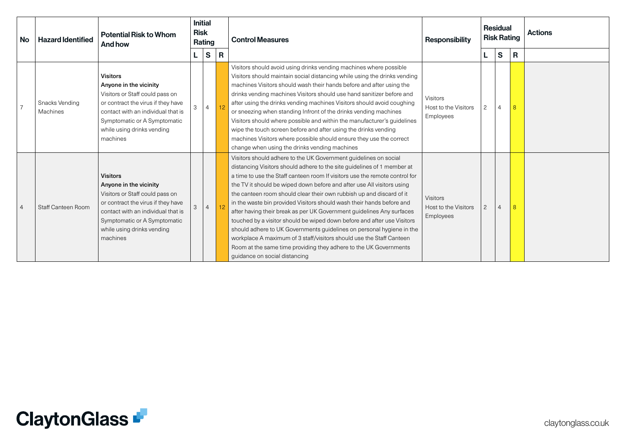| <b>No</b>      | <b>Hazard Identified</b>   | <b>Potential Risk to Whom</b><br>And how                                                                                                                                                                                           | <b>Risk</b> | <b>Initial</b><br>Rating |                | <b>Control Measures</b><br><b>Responsibility</b>                                                                                                                                                                                                                                                                                                                                                                                                                                                                                                                                                                                                                                                                                                                                                                                                                 |                                                      |                       | <b>Residual</b><br><b>Risk Rating</b> |   | <b>Actions</b> |
|----------------|----------------------------|------------------------------------------------------------------------------------------------------------------------------------------------------------------------------------------------------------------------------------|-------------|--------------------------|----------------|------------------------------------------------------------------------------------------------------------------------------------------------------------------------------------------------------------------------------------------------------------------------------------------------------------------------------------------------------------------------------------------------------------------------------------------------------------------------------------------------------------------------------------------------------------------------------------------------------------------------------------------------------------------------------------------------------------------------------------------------------------------------------------------------------------------------------------------------------------------|------------------------------------------------------|-----------------------|---------------------------------------|---|----------------|
|                |                            |                                                                                                                                                                                                                                    |             | $\vert$ S                | $\overline{R}$ |                                                                                                                                                                                                                                                                                                                                                                                                                                                                                                                                                                                                                                                                                                                                                                                                                                                                  |                                                      | L.                    | $\mathbf{s}$                          | R |                |
|                | Snacks Vending<br>Machines | <b>Visitors</b><br>Anyone in the vicinity<br>Visitors or Staff could pass on<br>or contract the virus if they have<br>contact with an individual that is<br>Symptomatic or A Symptomatic<br>while using drinks vending<br>machines | 3           | $\overline{4}$           |                | Visitors should avoid using drinks vending machines where possible<br>Visitors should maintain social distancing while using the drinks vending<br>machines Visitors should wash their hands before and after using the<br>drinks vending machines Visitors should use hand sanitizer before and<br>after using the drinks vending machines Visitors should avoid coughing<br>or sneezing when standing Infront of the drinks vending machines<br>Visitors should where possible and within the manufacturer's guidelines<br>wipe the touch screen before and after using the drinks vending<br>machines Visitors where possible should ensure they use the correct<br>change when using the drinks vending machines                                                                                                                                             | Visitors<br>Host to the Visitors<br>Employees        | $\mathbf{2}^{\prime}$ | $\overline{4}$                        | 8 |                |
| $\overline{4}$ | Staff Canteen Room         | <b>Visitors</b><br>Anyone in the vicinity<br>Visitors or Staff could pass on<br>or contract the virus if they have<br>contact with an individual that is<br>Symptomatic or A Symptomatic<br>while using drinks vending<br>machines | 3           | $\overline{4}$           |                | Visitors should adhere to the UK Government guidelines on social<br>distancing Visitors should adhere to the site guidelines of 1 member at<br>a time to use the Staff canteen room If visitors use the remote control for<br>the TV it should be wiped down before and after use All visitors using<br>the canteen room should clear their own rubbish up and discard of it<br>in the waste bin provided Visitors should wash their hands before and<br>after having their break as per UK Government guidelines Any surfaces<br>touched by a visitor should be wiped down before and after use Visitors<br>should adhere to UK Governments guidelines on personal hygiene in the<br>workplace A maximum of 3 staff/visitors should use the Staff Canteen<br>Room at the same time providing they adhere to the UK Governments<br>guidance on social distancing | <b>Visitors</b><br>Host to the Visitors<br>Employees | $\mathbf{2}$          | $\overline{4}$                        | 8 |                |